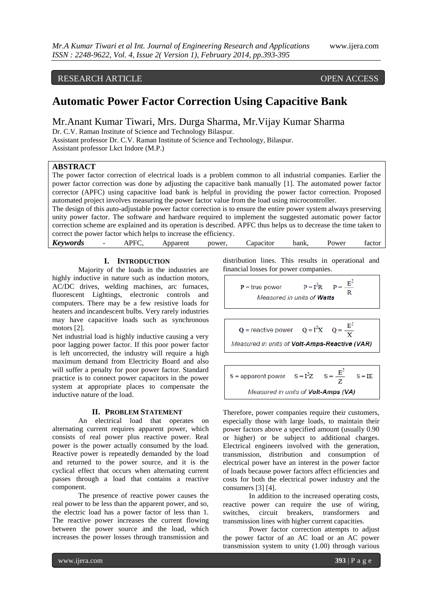# RESEARCH ARTICLE OPEN ACCESS

# **Automatic Power Factor Correction Using Capacitive Bank**

Mr.Anant Kumar Tiwari, Mrs. Durga Sharma, Mr.Vijay Kumar Sharma Dr. C.V. Raman Institute of Science and Technology Bilaspur.

Assistant professor Dr. C.V. Raman Institute of Science and Technology, Bilaspur. Assistant professor Lkct Indore (M.P.)

#### **ABSTRACT**

The power factor correction of electrical loads is a problem common to all industrial companies. Earlier the power factor correction was done by adjusting the capacitive bank manually [1]. The automated power factor corrector (APFC) using capacitive load bank is helpful in providing the power factor correction. Proposed automated project involves measuring the power factor value from the load using microcontroller.

The design of this auto-adjustable power factor correction is to ensure the entire power system always preserving unity power factor. The software and hardware required to implement the suggested automatic power factor correction scheme are explained and its operation is described. APFC thus helps us to decrease the time taken to correct the power factor which helps to increase the efficiency.

| <b>Keywords</b> | - | APFC<br>---- | Apparent<br>---- | power. | apacitor | bank, | Power<br>. | ractor |
|-----------------|---|--------------|------------------|--------|----------|-------|------------|--------|
|                 |   |              |                  |        |          |       |            |        |

 $\overline{Q}$ 

# **I. INTRODUCTION**

Majority of the loads in the industries are highly inductive in nature such as induction motors, AC/DC drives, welding machines, arc furnaces, fluorescent Lightings, electronic controls and computers. There may be a few resistive loads for heaters and incandescent bulbs. Very rarely industries may have capacitive loads such as synchronous motors [2].

Net industrial load is highly inductive causing a very poor lagging power factor. If this poor power factor is left uncorrected, the industry will require a high maximum demand from Electricity Board and also will suffer a penalty for poor power factor. Standard practice is to connect power capacitors in the power system at appropriate places to compensate the inductive nature of the load.

#### **II. PROBLEM STATEMENT**

An electrical load that operates on alternating current requires apparent power, which consists of real power plus reactive power. Real power is the power actually consumed by the load. Reactive power is repeatedly demanded by the load and returned to the power source, and it is the cyclical effect that occurs when alternating current passes through a load that contains a reactive component.

The presence of reactive power causes the real power to be less than the apparent power, and so, the electric load has a power factor of less than 1. The reactive power increases the current flowing between the power source and the load, which increases the power losses through transmission and

distribution lines. This results in operational and financial losses for power companies.

$$
P =
$$
 true power  $P = I^2R$   $P = \frac{E^2}{R}$   
*Measured in units of **Watts***

= reactive power 
$$
Q = I^2X
$$

Measured in units of Volt-Amps-Reactive (VAR)

 $Q = \frac{E^2}{X}$ 

 $S = I^2Z$  $S =$  apparent power  $S = IE$ Measured in units of Volt-Amps (VA)

Therefore, power companies require their customers, especially those with large loads, to maintain their power factors above a specified amount (usually 0.90 or higher) or be subject to additional charges. Electrical engineers involved with the generation, transmission, distribution and consumption of electrical power have an interest in the power factor of loads because power factors affect efficiencies and costs for both the electrical power industry and the consumers [3] [4].

In addition to the increased operating costs, reactive power can require the use of wiring, switches, circuit breakers, transformers and transmission lines with higher current capacities.

Power factor correction attempts to adjust the power factor of an AC load or an AC power transmission system to unity (1.00) through various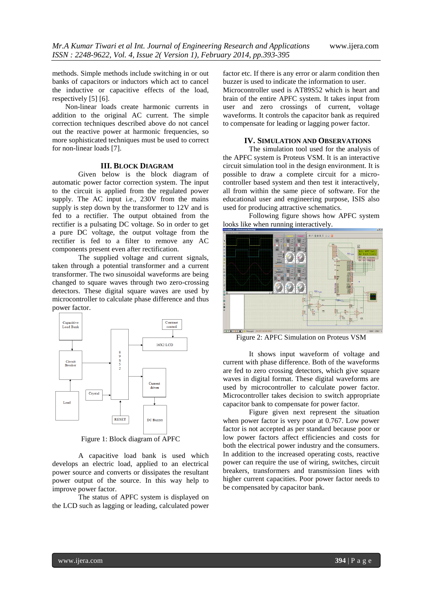methods. Simple methods include switching in or out banks of capacitors or inductors which act to cancel the inductive or capacitive effects of the load, respectively [5] [6].

Non-linear loads create harmonic currents in addition to the original AC current. The simple correction techniques described above do not cancel out the reactive power at harmonic frequencies, so more sophisticated techniques must be used to correct for non-linear loads [7].

#### **III. BLOCK DIAGRAM**

Given below is the block diagram of automatic power factor correction system. The input to the circuit is applied from the regulated power supply. The AC input i.e., 230V from the mains supply is step down by the transformer to 12V and is fed to a rectifier. The output obtained from the rectifier is a pulsating DC voltage. So in order to get a pure DC voltage, the output voltage from the rectifier is fed to a filter to remove any AC components present even after rectification.

The supplied voltage and current signals, taken through a potential transformer and a current transformer. The two sinusoidal waveforms are being changed to square waves through two zero-crossing detectors. These digital square waves are used by microcontroller to calculate phase difference and thus power factor.



Figure 1: Block diagram of APFC

A capacitive load bank is used which develops an electric load, applied to an electrical power source and converts or dissipates the resultant power output of the source. In this way help to improve power factor.

The status of APFC system is displayed on the LCD such as lagging or leading, calculated power

factor etc. If there is any error or alarm condition then buzzer is used to indicate the information to user. Microcontroller used is AT89S52 which is heart and

brain of the entire APFC system. It takes input from user and zero crossings of current, voltage waveforms. It controls the capacitor bank as required to compensate for leading or lagging power factor.

### **IV. SIMULATION AND OBSERVATIONS**

The simulation tool used for the analysis of the APFC system is Proteus VSM. It is an interactive circuit simulation tool in the design environment. It is possible to draw a complete circuit for a microcontroller based system and then test it interactively, all from within the same piece of software. For the educational user and engineering purpose, ISIS also used for producing attractive schematics.

Following figure shows how APFC system looks like when running interactively.



Figure 2: APFC Simulation on Proteus VSM

It shows input waveform of voltage and current with phase difference. Both of the waveforms are fed to zero crossing detectors, which give square waves in digital format. These digital waveforms are used by microcontroller to calculate power factor. Microcontroller takes decision to switch appropriate capacitor bank to compensate for power factor.

Figure given next represent the situation when power factor is very poor at 0.767. Low power factor is not accepted as per standard because poor or low power factors affect efficiencies and costs for both the electrical power industry and the consumers. In addition to the increased operating costs, reactive power can require the use of wiring, switches, circuit breakers, transformers and transmission lines with higher current capacities. Poor power factor needs to be compensated by capacitor bank.